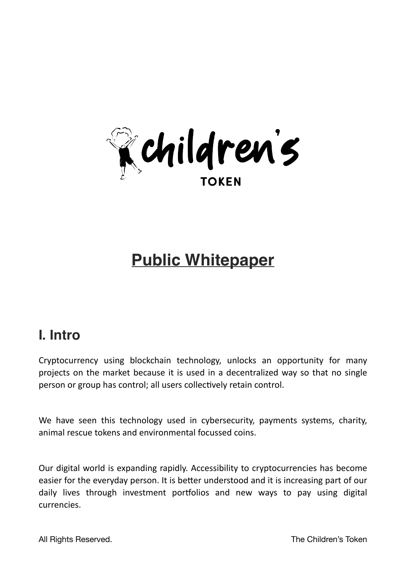

# **Public Whitepaper**

### **I. Intro**

Cryptocurrency using blockchain technology, unlocks an opportunity for many projects on the market because it is used in a decentralized way so that no single person or group has control; all users collectively retain control.

We have seen this technology used in cybersecurity, payments systems, charity, animal rescue tokens and environmental focussed coins.

Our digital world is expanding rapidly. Accessibility to cryptocurrencies has become easier for the everyday person. It is better understood and it is increasing part of our daily lives through investment portfolios and new ways to pay using digital currencies.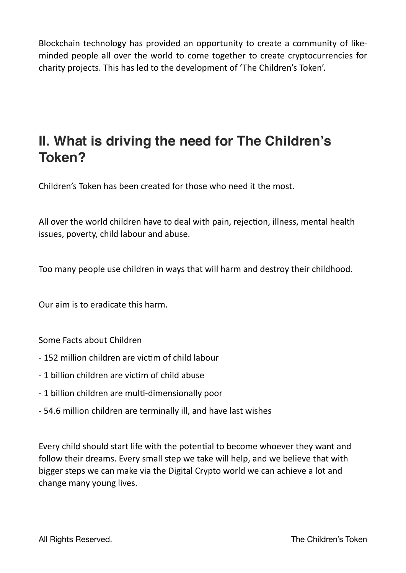Blockchain technology has provided an opportunity to create a community of likeminded people all over the world to come together to create cryptocurrencies for charity projects. This has led to the development of 'The Children's Token'.

## **II. What is driving the need for The Children's Token?**

Children's Token has been created for those who need it the most.

All over the world children have to deal with pain, rejection, illness, mental health issues, poverty, child labour and abuse.

Too many people use children in ways that will harm and destroy their childhood.

Our aim is to eradicate this harm.

Some Facts about Children

- 152 million children are victim of child labour
- 1 billion children are victim of child abuse
- 1 billion children are multi-dimensionally poor
- 54.6 million children are terminally ill, and have last wishes

Every child should start life with the potential to become whoever they want and follow their dreams. Every small step we take will help, and we believe that with bigger steps we can make via the Digital Crypto world we can achieve a lot and change many young lives.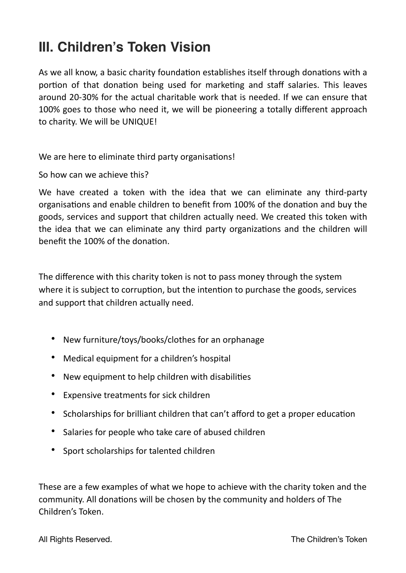### **III. Children's Token Vision**

As we all know, a basic charity foundation establishes itself through donations with a portion of that donation being used for marketing and staff salaries. This leaves around 20-30% for the actual charitable work that is needed. If we can ensure that 100% goes to those who need it, we will be pioneering a totally different approach to charity. We will be UNIQUE!

We are here to eliminate third party organisations!

So how can we achieve this?

We have created a token with the idea that we can eliminate any third-party organisations and enable children to benefit from 100% of the donation and buy the goods, services and support that children actually need. We created this token with the idea that we can eliminate any third party organizations and the children will benefit the 100% of the donation.

The difference with this charity token is not to pass money through the system where it is subject to corruption, but the intention to purchase the goods, services and support that children actually need.

- New furniture/toys/books/clothes for an orphanage
- Medical equipment for a children's hospital
- New equipment to help children with disabilities
- Expensive treatments for sick children
- Scholarships for brilliant children that can't afford to get a proper education
- Salaries for people who take care of abused children
- Sport scholarships for talented children

These are a few examples of what we hope to achieve with the charity token and the community. All donations will be chosen by the community and holders of The Children's Token.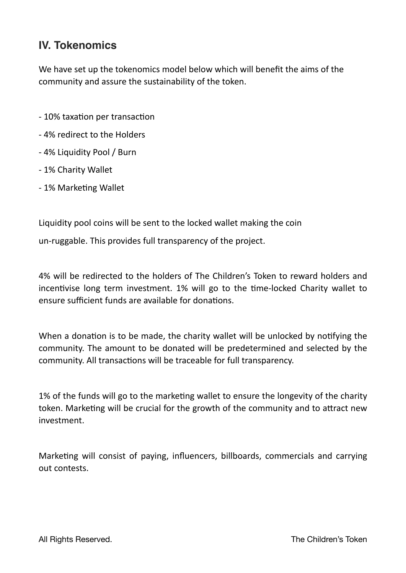#### **IV. Tokenomics**

We have set up the tokenomics model below which will benefit the aims of the community and assure the sustainability of the token.

- 10% taxation per transaction
- 4% redirect to the Holders
- 4% Liquidity Pool / Burn
- 1% Charity Wallet
- 1% Marketing Wallet

Liquidity pool coins will be sent to the locked wallet making the coin

un-ruggable. This provides full transparency of the project.

4% will be redirected to the holders of The Children's Token to reward holders and incentivise long term investment. 1% will go to the time-locked Charity wallet to ensure sufficient funds are available for donations.

When a donation is to be made, the charity wallet will be unlocked by notifying the community. The amount to be donated will be predetermined and selected by the community. All transactions will be traceable for full transparency.

1% of the funds will go to the marketing wallet to ensure the longevity of the charity token. Marketing will be crucial for the growth of the community and to attract new investment.

Marketing will consist of paying, influencers, billboards, commercials and carrying out contests.